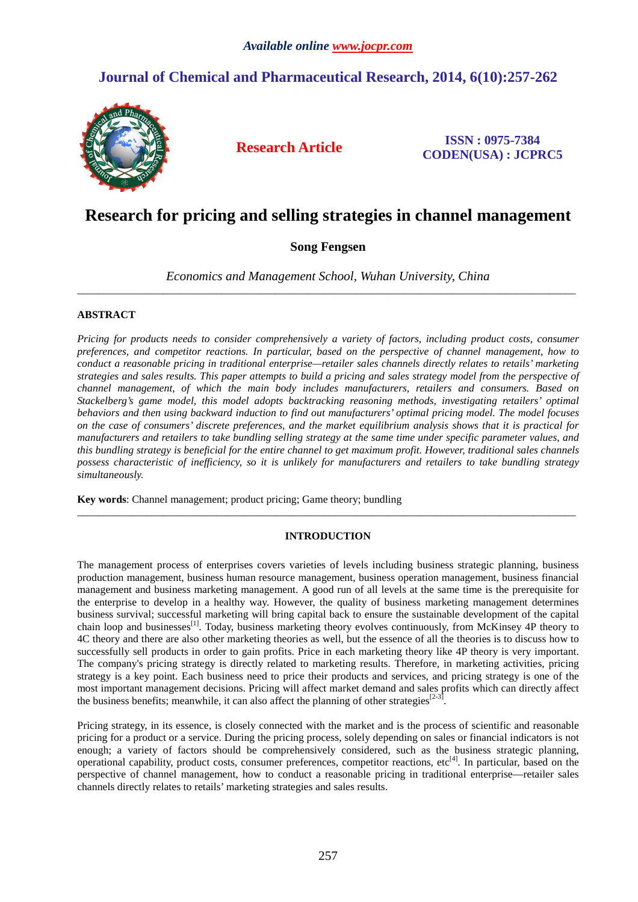# **Journal of Chemical and Pharmaceutical Research, 2014, 6(10):257-262**



**Research Article ISSN : 0975-7384 CODEN(USA) : JCPRC5**

# **Research for pricing and selling strategies in channel management**

# **Song Fengsen**

*Economics and Management School, Wuhan University, China*  \_\_\_\_\_\_\_\_\_\_\_\_\_\_\_\_\_\_\_\_\_\_\_\_\_\_\_\_\_\_\_\_\_\_\_\_\_\_\_\_\_\_\_\_\_\_\_\_\_\_\_\_\_\_\_\_\_\_\_\_\_\_\_\_\_\_\_\_\_\_\_\_\_\_\_\_\_\_\_\_\_\_\_\_\_\_\_\_\_\_\_\_\_

# **ABSTRACT**

*Pricing for products needs to consider comprehensively a variety of factors, including product costs, consumer preferences, and competitor reactions. In particular, based on the perspective of channel management, how to conduct a reasonable pricing in traditional enterprise—retailer sales channels directly relates to retails' marketing strategies and sales results. This paper attempts to build a pricing and sales strategy model from the perspective of channel management, of which the main body includes manufacturers, retailers and consumers. Based on Stackelberg's game model, this model adopts backtracking reasoning methods, investigating retailers' optimal behaviors and then using backward induction to find out manufacturers' optimal pricing model. The model focuses on the case of consumers' discrete preferences, and the market equilibrium analysis shows that it is practical for manufacturers and retailers to take bundling selling strategy at the same time under specific parameter values, and this bundling strategy is beneficial for the entire channel to get maximum profit. However, traditional sales channels possess characteristic of inefficiency, so it is unlikely for manufacturers and retailers to take bundling strategy simultaneously.* 

**Key words**: Channel management; product pricing; Game theory; bundling

# **INTRODUCTION**

 $\overline{a}$  , and the contribution of the contribution of the contribution of the contribution of the contribution of the contribution of the contribution of the contribution of the contribution of the contribution of the co

The management process of enterprises covers varieties of levels including business strategic planning, business production management, business human resource management, business operation management, business financial management and business marketing management. A good run of all levels at the same time is the prerequisite for the enterprise to develop in a healthy way. However, the quality of business marketing management determines business survival; successful marketing will bring capital back to ensure the sustainable development of the capital chain loop and businesses<sup>[1]</sup>. Today, business marketing theory evolves continuously, from McKinsey 4P theory to 4C theory and there are also other marketing theories as well, but the essence of all the theories is to discuss how to successfully sell products in order to gain profits. Price in each marketing theory like 4P theory is very important. The company's pricing strategy is directly related to marketing results. Therefore, in marketing activities, pricing strategy is a key point. Each business need to price their products and services, and pricing strategy is one of the most important management decisions. Pricing will affect market demand and sales profits which can directly affect the business benefits; meanwhile, it can also affect the planning of other strategies<sup>[2-3]</sup> .

Pricing strategy, in its essence, is closely connected with the market and is the process of scientific and reasonable pricing for a product or a service. During the pricing process, solely depending on sales or financial indicators is not enough; a variety of factors should be comprehensively considered, such as the business strategic planning, operational capability, product costs, consumer preferences, competitor reactions, etc<sup>[4]</sup>. In particular, based on the perspective of channel management, how to conduct a reasonable pricing in traditional enterprise—retailer sales channels directly relates to retails' marketing strategies and sales results.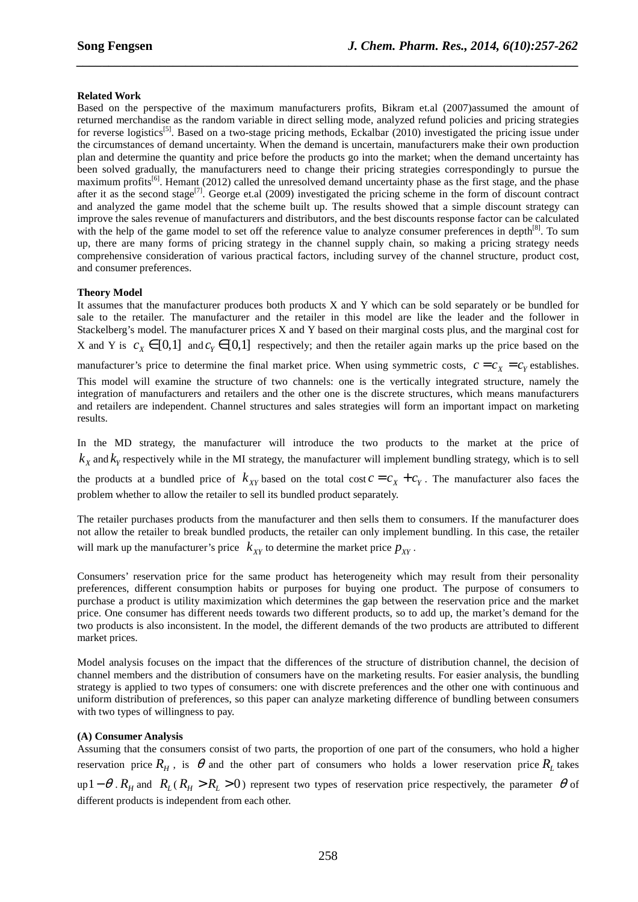### **Related Work**

Based on the perspective of the maximum manufacturers profits, Bikram et.al (2007)assumed the amount of returned merchandise as the random variable in direct selling mode, analyzed refund policies and pricing strategies for reverse logistics<sup>[5]</sup>. Based on a two-stage pricing methods, Eckalbar (2010) investigated the pricing issue under the circumstances of demand uncertainty. When the demand is uncertain, manufacturers make their own production plan and determine the quantity and price before the products go into the market; when the demand uncertainty has been solved gradually, the manufacturers need to change their pricing strategies correspondingly to pursue the maximum profits<sup>[6]</sup>. Hemant (2012) called the unresolved demand uncertainty phase as the first stage, and the phase after it as the second stage<sup>[7]</sup>. George et.al (2009) investigated the pricing scheme in the form of discount contract and analyzed the game model that the scheme built up. The results showed that a simple discount strategy can improve the sales revenue of manufacturers and distributors, and the best discounts response factor can be calculated with the help of the game model to set off the reference value to analyze consumer preferences in depth<sup>[8]</sup>. To sum up, there are many forms of pricing strategy in the channel supply chain, so making a pricing strategy needs comprehensive consideration of various practical factors, including survey of the channel structure, product cost, and consumer preferences.

*\_\_\_\_\_\_\_\_\_\_\_\_\_\_\_\_\_\_\_\_\_\_\_\_\_\_\_\_\_\_\_\_\_\_\_\_\_\_\_\_\_\_\_\_\_\_\_\_\_\_\_\_\_\_\_\_\_\_\_\_\_\_\_\_\_\_\_\_\_\_\_\_\_\_\_\_\_\_*

## **Theory Model**

It assumes that the manufacturer produces both products X and Y which can be sold separately or be bundled for sale to the retailer. The manufacturer and the retailer in this model are like the leader and the follower in Stackelberg's model. The manufacturer prices X and Y based on their marginal costs plus, and the marginal cost for X and Y is  $c_x \in [0,1]$  and  $c_y \in [0,1]$  respectively; and then the retailer again marks up the price based on the

manufacturer's price to determine the final market price. When using symmetric costs,  $c = c_x = c_y$  establishes.

This model will examine the structure of two channels: one is the vertically integrated structure, namely the integration of manufacturers and retailers and the other one is the discrete structures, which means manufacturers and retailers are independent. Channel structures and sales strategies will form an important impact on marketing results.

In the MD strategy, the manufacturer will introduce the two products to the market at the price of  $k_X$  and  $k_Y$  respectively while in the MI strategy, the manufacturer will implement bundling strategy, which is to sell the products at a bundled price of  $k_{XY}$  based on the total cost  $c = c_X + c_Y$ . The manufacturer also faces the problem whether to allow the retailer to sell its bundled product separately.

The retailer purchases products from the manufacturer and then sells them to consumers. If the manufacturer does not allow the retailer to break bundled products, the retailer can only implement bundling. In this case, the retailer will mark up the manufacturer's price  $k_{XY}$  to determine the market price  $p_{XY}$ .

Consumers' reservation price for the same product has heterogeneity which may result from their personality preferences, different consumption habits or purposes for buying one product. The purpose of consumers to purchase a product is utility maximization which determines the gap between the reservation price and the market price. One consumer has different needs towards two different products, so to add up, the market's demand for the two products is also inconsistent. In the model, the different demands of the two products are attributed to different market prices.

Model analysis focuses on the impact that the differences of the structure of distribution channel, the decision of channel members and the distribution of consumers have on the marketing results. For easier analysis, the bundling strategy is applied to two types of consumers: one with discrete preferences and the other one with continuous and uniform distribution of preferences, so this paper can analyze marketing difference of bundling between consumers with two types of willingness to pay.

### **(A) Consumer Analysis**

Assuming that the consumers consist of two parts, the proportion of one part of the consumers, who hold a higher reservation price  $R_H$ , is  $\theta$  and the other part of consumers who holds a lower reservation price  $R_L$  takes  $\mu_{\text{p}}(R_H - \theta \cdot R_H)$  and  $R_L(R_H > R_L > 0)$  represent two types of reservation price respectively, the parameter  $\theta$  of different products is independent from each other.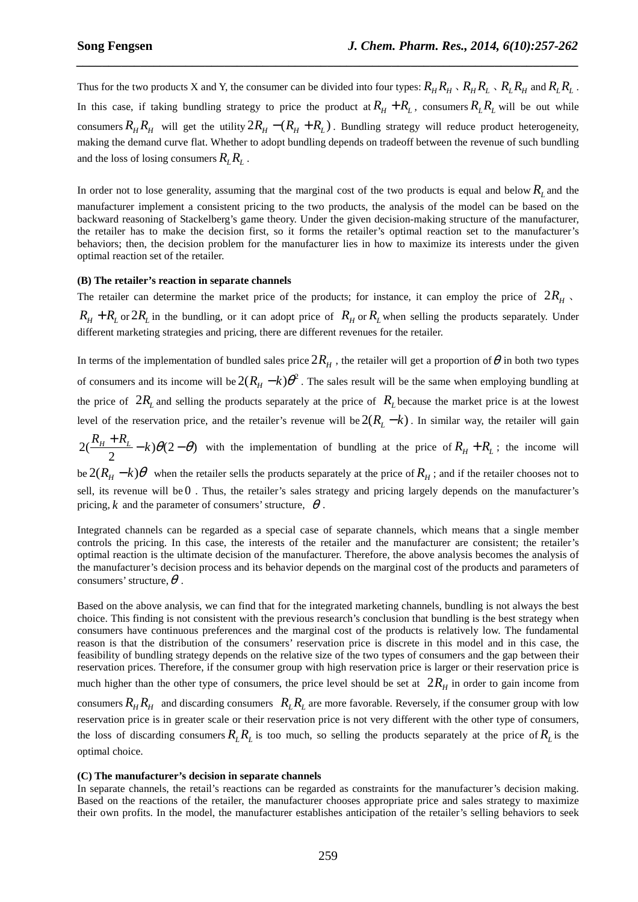Thus for the two products X and Y, the consumer can be divided into four types:  $R_H R_H \setminus R_H R_L \setminus R_L R_H$  and  $R_L R_L$ . In this case, if taking bundling strategy to price the product at  $R_H + R_L$ , consumers  $R_L R_L$  will be out while consumers  $R_{H}R_{H}$  will get the utility  $2R_{H} - (R_{H} + R_{L})$ . Bundling strategy will reduce product heterogeneity, making the demand curve flat. Whether to adopt bundling depends on tradeoff between the revenue of such bundling and the loss of losing consumers  $R_i R_j$ .

*\_\_\_\_\_\_\_\_\_\_\_\_\_\_\_\_\_\_\_\_\_\_\_\_\_\_\_\_\_\_\_\_\_\_\_\_\_\_\_\_\_\_\_\_\_\_\_\_\_\_\_\_\_\_\_\_\_\_\_\_\_\_\_\_\_\_\_\_\_\_\_\_\_\_\_\_\_\_*

In order not to lose generality, assuming that the marginal cost of the two products is equal and below  $R_L$  and the manufacturer implement a consistent pricing to the two products, the analysis of the model can be based on the backward reasoning of Stackelberg's game theory. Under the given decision-making structure of the manufacturer, the retailer has to make the decision first, so it forms the retailer's optimal reaction set to the manufacturer's behaviors; then, the decision problem for the manufacturer lies in how to maximize its interests under the given optimal reaction set of the retailer.

#### **(B) The retailer's reaction in separate channels**

The retailer can determine the market price of the products; for instance, it can employ the price of  $2R<sub>H</sub>$ .  $R_H + R_L$  or  $2R_L$  in the bundling, or it can adopt price of  $R_H$  or  $R_L$  when selling the products separately. Under different marketing strategies and pricing, there are different revenues for the retailer.

In terms of the implementation of bundled sales price  $2R_H$  , the retailer will get a proportion of  $\theta$  in both two types of consumers and its income will be  $2(R_H - k)\theta^2$ . The sales result will be the same when employing bundling at the price of  $2R<sub>L</sub>$  and selling the products separately at the price of  $R<sub>L</sub>$  because the market price is at the lowest level of the reservation price, and the retailer's revenue will be  $2(R<sub>L</sub> - k)$ . In similar way, the retailer will gain

 $2(\frac{R_H + R_L}{2} - k)\theta(2 - \theta)$ 2  $\frac{R_H + R_L}{2} - k\theta(2-\theta)$  with the implementation of bundling at the price of  $R_H + R_L$ ; the income will

 $\det(1 + \epsilon) \theta$  when the retailer sells the products separately at the price of  $R_H$ ; and if the retailer chooses not to sell, its revenue will be 0 . Thus, the retailer's sales strategy and pricing largely depends on the manufacturer's pricing, k and the parameter of consumers' structure,  $\theta$ .

Integrated channels can be regarded as a special case of separate channels, which means that a single member controls the pricing. In this case, the interests of the retailer and the manufacturer are consistent; the retailer's optimal reaction is the ultimate decision of the manufacturer. Therefore, the above analysis becomes the analysis of the manufacturer's decision process and its behavior depends on the marginal cost of the products and parameters of consumers' structure,  $\theta$ .

Based on the above analysis, we can find that for the integrated marketing channels, bundling is not always the best choice. This finding is not consistent with the previous research's conclusion that bundling is the best strategy when consumers have continuous preferences and the marginal cost of the products is relatively low. The fundamental reason is that the distribution of the consumers' reservation price is discrete in this model and in this case, the feasibility of bundling strategy depends on the relative size of the two types of consumers and the gap between their reservation prices. Therefore, if the consumer group with high reservation price is larger or their reservation price is much higher than the other type of consumers, the price level should be set at  $2R_H$  in order to gain income from consumers  $R_H R_H$  and discarding consumers  $R_L R_L$  are more favorable. Reversely, if the consumer group with low reservation price is in greater scale or their reservation price is not very different with the other type of consumers, the loss of discarding consumers  $R_L R_L$  is too much, so selling the products separately at the price of  $R_L$  is the optimal choice.

#### **(C) The manufacturer's decision in separate channels**

In separate channels, the retail's reactions can be regarded as constraints for the manufacturer's decision making. Based on the reactions of the retailer, the manufacturer chooses appropriate price and sales strategy to maximize their own profits. In the model, the manufacturer establishes anticipation of the retailer's selling behaviors to seek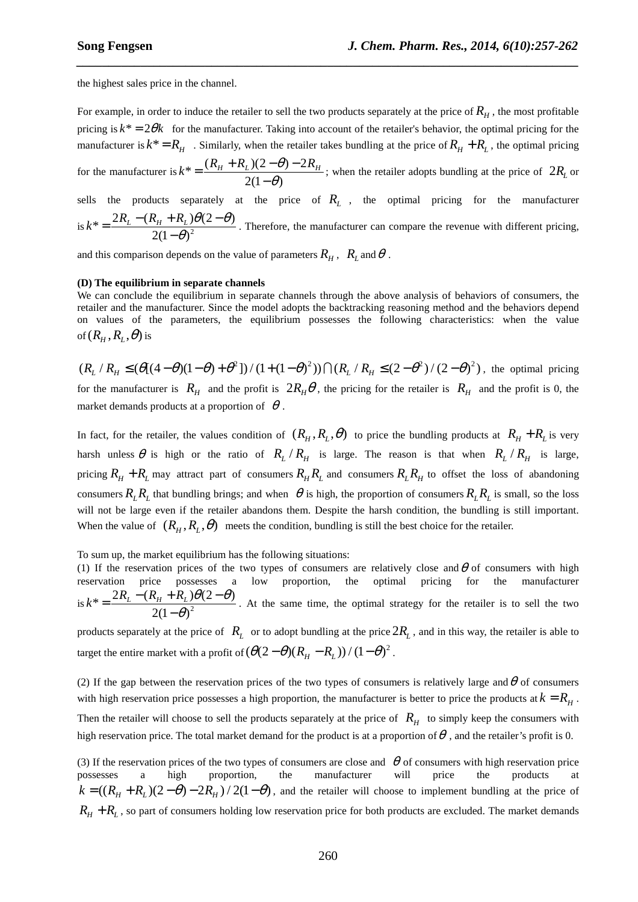the highest sales price in the channel.

For example, in order to induce the retailer to sell the two products separately at the price of  $R_H$ , the most profitable pricing is  $k^* = 2\theta k$  for the manufacturer. Taking into account of the retailer's behavior, the optimal pricing for the manufacturer is  $k^* = R_H$ . Similarly, when the retailer takes bundling at the price of  $R_H + R_L$ , the optimal pricing for the manufacturer is  $k^* = \frac{(R_H + R_L)(2-\theta) - 2}{2}$  $2(1-\theta)$  $k^* = \frac{(R_H + R_L)(2 - \theta) - 2R_H}{(R_H + R_L)(2 - \theta)}$ θ  $=\frac{(R_{H}+R_{L})(2-\theta) \frac{2}{\epsilon}$  (b)  $2R_H$  ; when the retailer adopts bundling at the price of  $2R_L$  or  $-\theta$ ) sells the products separately at the price of  $R_L$ , the optimal pricing for the manufacturer is  $k^* = \frac{2R_L - (R_H + R_L)\theta(2-\theta)}{2(1-\theta)^2}$  $2(1-\theta)$  $k^* = \frac{2R_L - (R_H + R_L)\theta(2-\theta)}{2(1-\theta)^2}$ θ  $=\frac{2R_L-(R_H+R_L)\theta(2-1)}{2(1-\theta)^2}$ − . Therefore, the manufacturer can compare the revenue with different pricing,

*\_\_\_\_\_\_\_\_\_\_\_\_\_\_\_\_\_\_\_\_\_\_\_\_\_\_\_\_\_\_\_\_\_\_\_\_\_\_\_\_\_\_\_\_\_\_\_\_\_\_\_\_\_\_\_\_\_\_\_\_\_\_\_\_\_\_\_\_\_\_\_\_\_\_\_\_\_\_*

and this comparison depends on the value of parameters  $R_H$ ,  $R_L$  and  $\theta$ .

#### **(D) The equilibrium in separate channels**

We can conclude the equilibrium in separate channels through the above analysis of behaviors of consumers, the retailer and the manufacturer. Since the model adopts the backtracking reasoning method and the behaviors depend on values of the parameters, the equilibrium possesses the following characteristics: when the value of  $(R_{H}, R_{L}, \theta)$  is

 $(R_{I}/R_{II} \leq (\theta[(4-\theta)(1-\theta)+\theta^{2}])/(1+(1-\theta)^{2})) \bigcap (R_{I}/R_{II} \leq (2-\theta^{2})/(2-\theta)^{2})$ , the optimal pricing for the manufacturer is  $R_H$  and the profit is  $2R_H\theta$ , the pricing for the retailer is  $R_H$  and the profit is 0, the market demands products at a proportion of  $\theta$ .

In fact, for the retailer, the values condition of  $(R_H, R_L, \theta)$  to price the bundling products at  $R_H + R_L$  is very harsh unless  $\theta$  is high or the ratio of  $R_L/R_H$  is large. The reason is that when  $R_L/R_H$  is large, pricing  $R_H + R_L$  may attract part of consumers  $R_H R_L$  and consumers  $R_L R_H$  to offset the loss of abandoning consumers  $R_L R_L$  that bundling brings; and when  $\theta$  is high, the proportion of consumers  $R_L R_L$  is small, so the loss will not be large even if the retailer abandons them. Despite the harsh condition, the bundling is still important. When the value of  $(R_H, R_L, \theta)$  meets the condition, bundling is still the best choice for the retailer.

To sum up, the market equilibrium has the following situations:

(1) If the reservation prices of the two types of consumers are relatively close and  $\theta$  of consumers with high reservation price possesses a low proportion, the optimal pricing for the manufacturer is  $k^* = \frac{2R_L - (R_H + R_L)\theta(2-\theta)}{2(1-\theta)^2}$  $2(1-\theta)$  $k^* = \frac{2R_L - (R_H + R_L)\theta(2-\theta)}{R_H - R_L^2}$ θ  $=\frac{2R_L-(R_H+R_L)\theta(2-1)}{2(1-\theta)^2}$ − . At the same time, the optimal strategy for the retailer is to sell the two

products separately at the price of  $R_L$  or to adopt bundling at the price  $2R_L$ , and in this way, the retailer is able to target the entire market with a profit of  $(\theta(2-\theta)(R_H - R_L))/(1-\theta)^2$ .

(2) If the gap between the reservation prices of the two types of consumers is relatively large and  $\theta$  of consumers with high reservation price possesses a high proportion, the manufacturer is better to price the products at  $k = R$ <sub>*H*</sub>. Then the retailer will choose to sell the products separately at the price of  $R$ <sup>*H*</sup> to simply keep the consumers with high reservation price. The total market demand for the product is at a proportion of  $\theta$ , and the retailer's profit is 0.

(3) If the reservation prices of the two types of consumers are close and  $\theta$  of consumers with high reservation price possesses a high proportion, the manufacturer will price the products at  $k = ((R<sub>H</sub> + R<sub>L</sub>)(2 - \theta) - 2R<sub>H</sub>) / 2(1 - \theta)$ , and the retailer will choose to implement bundling at the price of  $R_H + R_L$ , so part of consumers holding low reservation price for both products are excluded. The market demands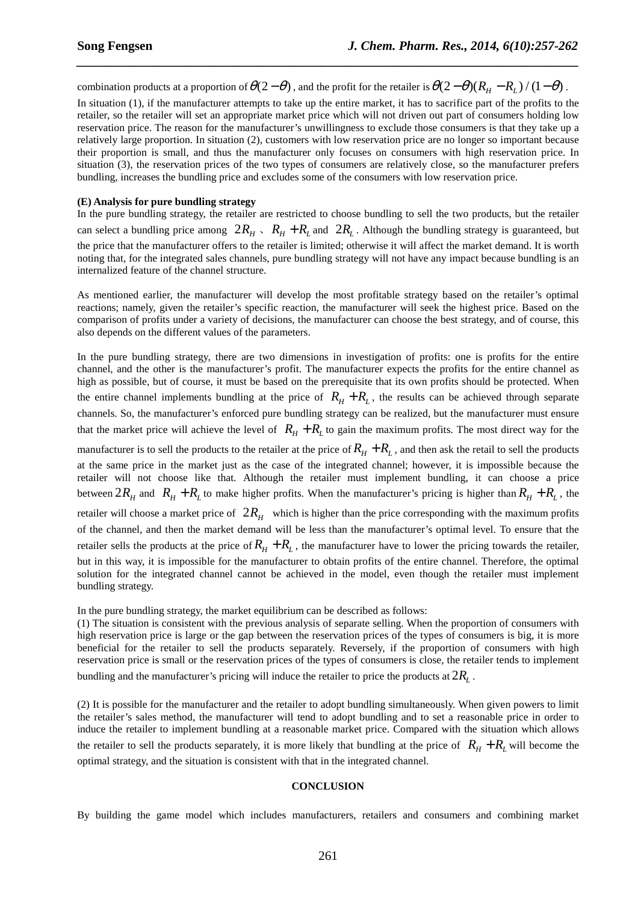combination products at a proportion of  $\theta(2-\theta)$ , and the profit for the retailer is  $\theta(2-\theta)(R_H - R_L)/(1-\theta)$ .

*\_\_\_\_\_\_\_\_\_\_\_\_\_\_\_\_\_\_\_\_\_\_\_\_\_\_\_\_\_\_\_\_\_\_\_\_\_\_\_\_\_\_\_\_\_\_\_\_\_\_\_\_\_\_\_\_\_\_\_\_\_\_\_\_\_\_\_\_\_\_\_\_\_\_\_\_\_\_*

In situation (1), if the manufacturer attempts to take up the entire market, it has to sacrifice part of the profits to the retailer, so the retailer will set an appropriate market price which will not driven out part of consumers holding low reservation price. The reason for the manufacturer's unwillingness to exclude those consumers is that they take up a relatively large proportion. In situation (2), customers with low reservation price are no longer so important because their proportion is small, and thus the manufacturer only focuses on consumers with high reservation price. In situation (3), the reservation prices of the two types of consumers are relatively close, so the manufacturer prefers bundling, increases the bundling price and excludes some of the consumers with low reservation price.

#### **(E) Analysis for pure bundling strategy**

In the pure bundling strategy, the retailer are restricted to choose bundling to sell the two products, but the retailer can select a bundling price among  $2R_H$ ,  $R_H + R_L$  and  $2R_L$ . Although the bundling strategy is guaranteed, but the price that the manufacturer offers to the retailer is limited; otherwise it will affect the market demand. It is worth noting that, for the integrated sales channels, pure bundling strategy will not have any impact because bundling is an internalized feature of the channel structure.

As mentioned earlier, the manufacturer will develop the most profitable strategy based on the retailer's optimal reactions; namely, given the retailer's specific reaction, the manufacturer will seek the highest price. Based on the comparison of profits under a variety of decisions, the manufacturer can choose the best strategy, and of course, this also depends on the different values of the parameters.

In the pure bundling strategy, there are two dimensions in investigation of profits: one is profits for the entire channel, and the other is the manufacturer's profit. The manufacturer expects the profits for the entire channel as high as possible, but of course, it must be based on the prerequisite that its own profits should be protected. When the entire channel implements bundling at the price of  $R_H + R_L$ , the results can be achieved through separate channels. So, the manufacturer's enforced pure bundling strategy can be realized, but the manufacturer must ensure that the market price will achieve the level of  $R_H + R_L$  to gain the maximum profits. The most direct way for the

manufacturer is to sell the products to the retailer at the price of  $R_H + R_L$ , and then ask the retail to sell the products at the same price in the market just as the case of the integrated channel; however, it is impossible because the retailer will not choose like that. Although the retailer must implement bundling, it can choose a price between  $2R_H$  and  $R_H + R_L$  to make higher profits. When the manufacturer's pricing is higher than  $R_H + R_L$ , the retailer will choose a market price of  $2R_H$  which is higher than the price corresponding with the maximum profits of the channel, and then the market demand will be less than the manufacturer's optimal level. To ensure that the retailer sells the products at the price of  $R_H + R_L$ , the manufacturer have to lower the pricing towards the retailer, but in this way, it is impossible for the manufacturer to obtain profits of the entire channel. Therefore, the optimal solution for the integrated channel cannot be achieved in the model, even though the retailer must implement bundling strategy.

In the pure bundling strategy, the market equilibrium can be described as follows:

(1) The situation is consistent with the previous analysis of separate selling. When the proportion of consumers with high reservation price is large or the gap between the reservation prices of the types of consumers is big, it is more beneficial for the retailer to sell the products separately. Reversely, if the proportion of consumers with high reservation price is small or the reservation prices of the types of consumers is close, the retailer tends to implement bundling and the manufacturer's pricing will induce the retailer to price the products at  $2R_{\rm L}$  .

(2) It is possible for the manufacturer and the retailer to adopt bundling simultaneously. When given powers to limit the retailer's sales method, the manufacturer will tend to adopt bundling and to set a reasonable price in order to induce the retailer to implement bundling at a reasonable market price. Compared with the situation which allows the retailer to sell the products separately, it is more likely that bundling at the price of  $R_H + R_I$  will become the optimal strategy, and the situation is consistent with that in the integrated channel.

### **CONCLUSION**

By building the game model which includes manufacturers, retailers and consumers and combining market